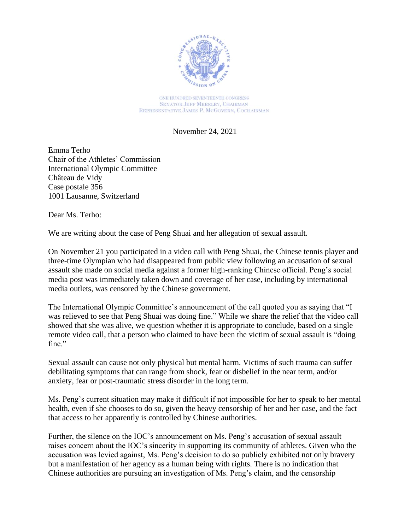

ONE HUNDRED SEVENTEENTH CONGRESS **SENATOR JEFF MERKLEY, CHAIRMAN** REPRESENTATIVE JAMES P. MCGOVERN, COCHAIRMAN

November 24, 2021

Emma Terho Chair of the Athletes' Commission International Olympic Committee Château de Vidy Case postale 356 1001 Lausanne, Switzerland

Dear Ms. Terho:

We are writing about the case of Peng Shuai and her allegation of sexual assault.

On November 21 you participated in a video call with Peng Shuai, the Chinese tennis player and three-time Olympian who had disappeared from public view following an accusation of sexual assault she made on social media against a former high-ranking Chinese official. Peng's social media post was immediately taken down and coverage of her case, including by international media outlets, was censored by the Chinese government.

The International Olympic Committee's announcement of the call quoted you as saying that "I was relieved to see that Peng Shuai was doing fine." While we share the relief that the video call showed that she was alive, we question whether it is appropriate to conclude, based on a single remote video call, that a person who claimed to have been the victim of sexual assault is "doing fine."

Sexual assault can cause not only physical but mental harm. Victims of such trauma can suffer debilitating symptoms that can range from shock, fear or disbelief in the near term, and/or anxiety, fear or post-traumatic stress disorder in the long term.

Ms. Peng's current situation may make it difficult if not impossible for her to speak to her mental health, even if she chooses to do so, given the heavy censorship of her and her case, and the fact that access to her apparently is controlled by Chinese authorities.

Further, the silence on the IOC's announcement on Ms. Peng's accusation of sexual assault raises concern about the IOC's sincerity in supporting its community of athletes. Given who the accusation was levied against, Ms. Peng's decision to do so publicly exhibited not only bravery but a manifestation of her agency as a human being with rights. There is no indication that Chinese authorities are pursuing an investigation of Ms. Peng's claim, and the censorship